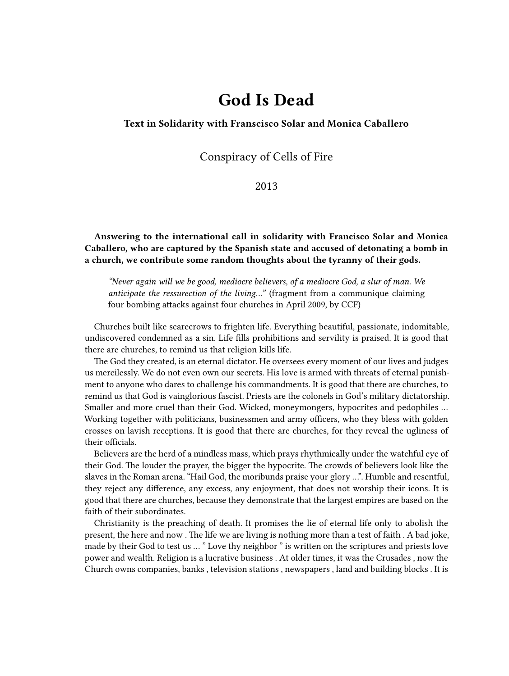# **God Is Dead**

### **Text in Solidarity with Franscisco Solar and Monica Caballero**

# Conspiracy of Cells of Fire

## 2013

**Answering to the international call in solidarity with Francisco Solar and Monica Caballero, who are captured by the Spanish state and accused of detonating a bomb in a church, we contribute some random thoughts about the tyranny of their gods.**

*"Never again will we be good, mediocre believers, of a mediocre God, a slur of man. We anticipate the ressurection of the living…"* (fragment from a communique claiming four bombing attacks against four churches in April 2009, by CCF)

Churches built like scarecrows to frighten life. Everything beautiful, passionate, indomitable, undiscovered condemned as a sin. Life fills prohibitions and servility is praised. It is good that there are churches, to remind us that religion kills life.

The God they created, is an eternal dictator. He oversees every moment of our lives and judges us mercilessly. We do not even own our secrets. His love is armed with threats of eternal punishment to anyone who dares to challenge his commandments. It is good that there are churches, to remind us that God is vainglorious fascist. Priests are the colonels in God's military dictatorship. Smaller and more cruel than their God. Wicked, moneymongers, hypocrites and pedophiles … Working together with politicians, businessmen and army officers, who they bless with golden crosses on lavish receptions. It is good that there are churches, for they reveal the ugliness of their officials.

Believers are the herd of a mindless mass, which prays rhythmically under the watchful eye of their God. The louder the prayer, the bigger the hypocrite. The crowds of believers look like the slaves in the Roman arena. "Hail God, the moribunds praise your glory …". Humble and resentful, they reject any difference, any excess, any enjoyment, that does not worship their icons. It is good that there are churches, because they demonstrate that the largest empires are based on the faith of their subordinates.

Christianity is the preaching of death. It promises the lie of eternal life only to abolish the present, the here and now . The life we are living is nothing more than a test of faith . A bad joke, made by their God to test us … " Love thy neighbor " is written on the scriptures and priests love power and wealth. Religion is a lucrative business . At older times, it was the Crusades , now the Church owns companies, banks , television stations , newspapers , land and building blocks . It is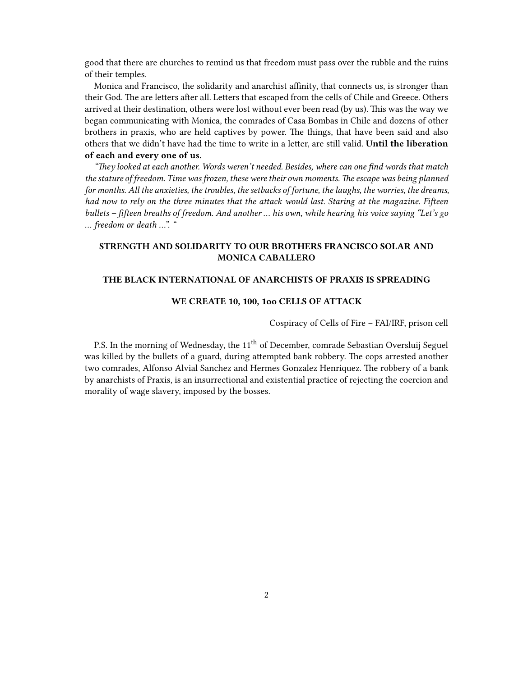good that there are churches to remind us that freedom must pass over the rubble and the ruins of their temples.

Monica and Francisco, the solidarity and anarchist affinity, that connects us, is stronger than their God. The are letters after all. Letters that escaped from the cells of Chile and Greece. Others arrived at their destination, others were lost without ever been read (by us). This was the way we began communicating with Monica, the comrades of Casa Bombas in Chile and dozens of other brothers in praxis, who are held captives by power. The things, that have been said and also others that we didn't have had the time to write in a letter, are still valid. **Until the liberation of each and every one of us.**

*"They looked at each another. Words weren't needed. Besides, where can one find words that match the stature of freedom. Time was frozen, these were their own moments. The escape was being planned for months. All the anxieties, the troubles, the setbacks of fortune, the laughs, the worries, the dreams, had now to rely on the three minutes that the attack would last. Staring at the magazine. Fifteen bullets – fifteen breaths of freedom. And another … his own, while hearing his voice saying "Let's go … freedom or death …". "*

#### **STRENGTH AND SOLIDARITY TO OUR BROTHERS FRANCISCO SOLAR AND MONICA CABALLERO**

#### **THE BLACK INTERNATIONAL OF ANARCHISTS OF PRAXIS IS SPREADING**

#### **WE CREATE 10, 100, 1oo CELLS OF ATTACK**

Cospiracy of Cells of Fire – FAI/IRF, prison cell

P.S. In the morning of Wednesday, the 11<sup>th</sup> of December, comrade Sebastian Oversluij Seguel was killed by the bullets of a guard, during attempted bank robbery. The cops arrested another two comrades, Alfonso Alvial Sanchez and Hermes Gonzalez Henriquez. The robbery of a bank by anarchists of Praxis, is an insurrectional and existential practice of rejecting the coercion and morality of wage slavery, imposed by the bosses.